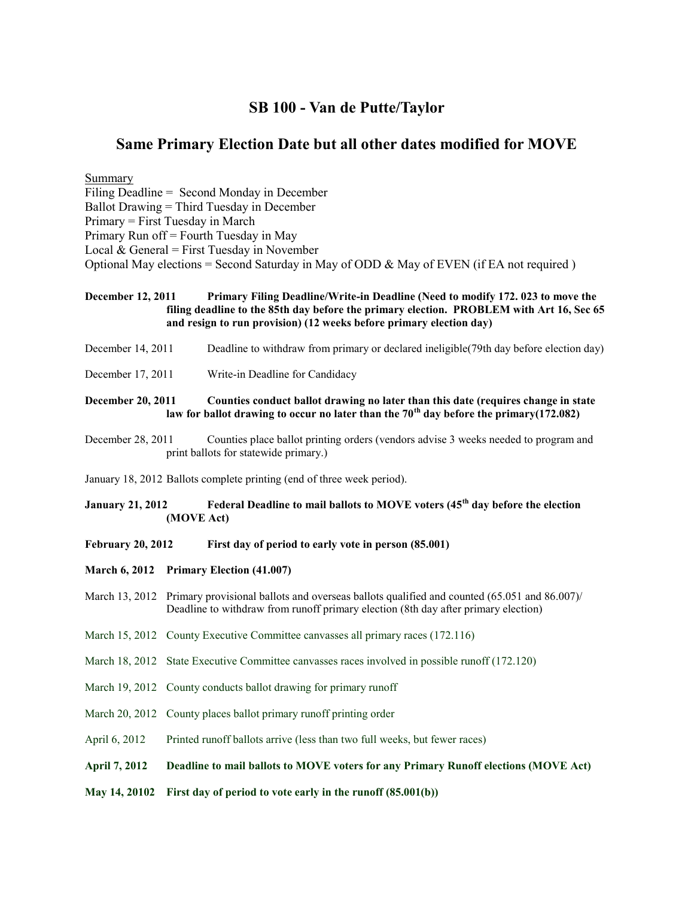## **SB 100 - Van de Putte/Taylor**

## **Same Primary Election Date but all other dates modified for MOVE**

Summary Filing Deadline = Second Monday in December Ballot Drawing = Third Tuesday in December Primary = First Tuesday in March Primary Run off = Fourth Tuesday in May Local  $& General = First Tuesday in November$ Optional May elections = Second Saturday in May of ODD  $\&$  May of EVEN (if EA not required)

**December 12, 2011 Primary Filing Deadline/Write-in Deadline (Need to modify 172. 023 to move the filing deadline to the 85th day before the primary election. PROBLEM with Art 16, Sec 65 and resign to run provision) (12 weeks before primary election day)**

- December 14, 2011 Deadline to withdraw from primary or declared ineligible(79th day before election day)
- December 17, 2011 Write-in Deadline for Candidacy

**December 20, 2011 Counties conduct ballot drawing no later than this date (requires change in state law for ballot drawing to occur no later than the 70th day before the primary(172.082)**

December 28, 2011 Counties place ballot printing orders (vendors advise 3 weeks needed to program and print ballots for statewide primary.)

January 18, 2012 Ballots complete printing (end of three week period).

- **January 21, 2012 Federal Deadline to mail ballots to MOVE voters (45th day before the election (MOVE Act)**
- **February 20, 2012 First day of period to early vote in person (85.001)**
- **March 6, 2012 Primary Election (41.007)**
- March 13, 2012 Primary provisional ballots and overseas ballots qualified and counted (65.051 and 86.007) Deadline to withdraw from runoff primary election (8th day after primary election)
- March 15, 2012 County Executive Committee canvasses all primary races (172.116)
- March 18, 2012 State Executive Committee canvasses races involved in possible runoff (172.120)
- March 19, 2012 County conducts ballot drawing for primary runoff
- March 20, 2012 County places ballot primary runoff printing order
- April 6, 2012 Printed runoff ballots arrive (less than two full weeks, but fewer races)

## **April 7, 2012 Deadline to mail ballots to MOVE voters for any Primary Runoff elections (MOVE Act)**

**May 14, 20102 First day of period to vote early in the runoff (85.001(b))**